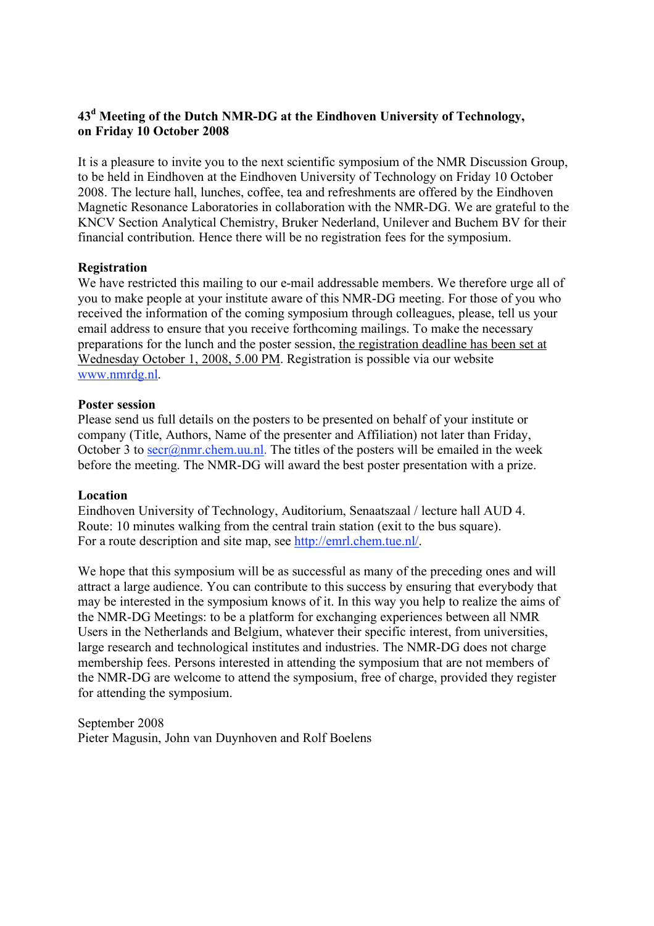## **43d Meeting of the Dutch NMR-DG at the Eindhoven University of Technology, on Friday 10 October 2008**

It is a pleasure to invite you to the next scientific symposium of the NMR Discussion Group, to be held in Eindhoven at the Eindhoven University of Technology on Friday 10 October 2008. The lecture hall, lunches, coffee, tea and refreshments are offered by the Eindhoven Magnetic Resonance Laboratories in collaboration with the NMR-DG. We are grateful to the KNCV Section Analytical Chemistry, Bruker Nederland, Unilever and Buchem BV for their financial contribution. Hence there will be no registration fees for the symposium.

## **Registration**

We have restricted this mailing to our e-mail addressable members. We therefore urge all of you to make people at your institute aware of this NMR-DG meeting. For those of you who received the information of the coming symposium through colleagues, please, tell us your email address to ensure that you receive forthcoming mailings. To make the necessary preparations for the lunch and the poster session, the registration deadline has been set at Wednesday October 1, 2008, 5.00 PM. Registration is possible via our website www.nmrdg.nl.

## **Poster session**

Please send us full details on the posters to be presented on behalf of your institute or company (Title, Authors, Name of the presenter and Affiliation) not later than Friday, October 3 to  $\frac{\text{secr}(a) \text{nmr} \cdot \text{chem} \cdot \text{u.u.} \cdot \text{n}}{B}$ . The titles of the posters will be emailed in the week before the meeting. The NMR-DG will award the best poster presentation with a prize.

## **Location**

Eindhoven University of Technology, Auditorium, Senaatszaal / lecture hall AUD 4. Route: 10 minutes walking from the central train station (exit to the bus square). For a route description and site map, see http://emrl.chem.tue.nl/.

We hope that this symposium will be as successful as many of the preceding ones and will attract a large audience. You can contribute to this success by ensuring that everybody that may be interested in the symposium knows of it. In this way you help to realize the aims of the NMR-DG Meetings: to be a platform for exchanging experiences between all NMR Users in the Netherlands and Belgium, whatever their specific interest, from universities, large research and technological institutes and industries. The NMR-DG does not charge membership fees. Persons interested in attending the symposium that are not members of the NMR-DG are welcome to attend the symposium, free of charge, provided they register for attending the symposium.

September 2008 Pieter Magusin, John van Duynhoven and Rolf Boelens